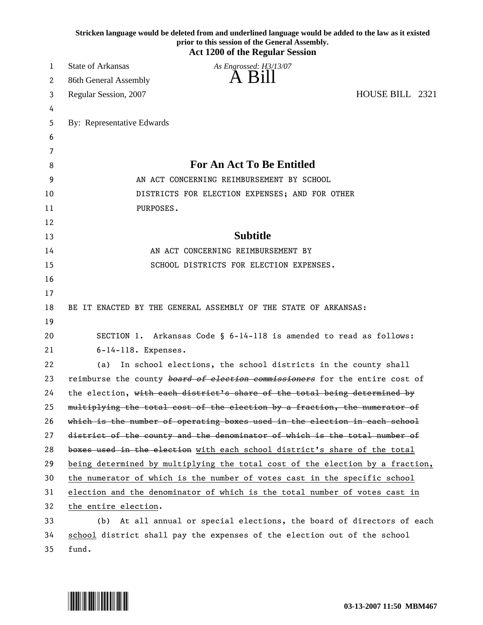|    | Stricken language would be deleted from and underlined language would be added to the law as it existed<br>prior to this session of the General Assembly.<br><b>Act 1200 of the Regular Session</b> |
|----|-----------------------------------------------------------------------------------------------------------------------------------------------------------------------------------------------------|
| 1  | <b>State of Arkansas</b><br>As Engrossed: H3/13/07                                                                                                                                                  |
| 2  | A Bill<br>86th General Assembly                                                                                                                                                                     |
| 3  | HOUSE BILL 2321<br>Regular Session, 2007                                                                                                                                                            |
| 4  |                                                                                                                                                                                                     |
| 5  | By: Representative Edwards                                                                                                                                                                          |
| 6  |                                                                                                                                                                                                     |
| 7  |                                                                                                                                                                                                     |
| 8  | <b>For An Act To Be Entitled</b>                                                                                                                                                                    |
| 9  | AN ACT CONCERNING REIMBURSEMENT BY SCHOOL                                                                                                                                                           |
| 10 | DISTRICTS FOR ELECTION EXPENSES; AND FOR OTHER                                                                                                                                                      |
| 11 | PURPOSES.                                                                                                                                                                                           |
| 12 |                                                                                                                                                                                                     |
| 13 | <b>Subtitle</b>                                                                                                                                                                                     |
| 14 | AN ACT CONCERNING REIMBURSEMENT BY                                                                                                                                                                  |
| 15 | SCHOOL DISTRICTS FOR ELECTION EXPENSES.                                                                                                                                                             |
| 16 |                                                                                                                                                                                                     |
| 17 |                                                                                                                                                                                                     |
| 18 | BE IT ENACTED BY THE GENERAL ASSEMBLY OF THE STATE OF ARKANSAS:                                                                                                                                     |
| 19 |                                                                                                                                                                                                     |
| 20 | SECTION 1. Arkansas Code § 6-14-118 is amended to read as follows:                                                                                                                                  |
| 21 | $6-14-118$ . Expenses.                                                                                                                                                                              |
| 22 | In school elections, the school districts in the county shall<br>(a)                                                                                                                                |
| 23 | reimburse the county board of election commissioners for the entire cost of                                                                                                                         |
| 24 | the election, with each district's share of the total being determined by                                                                                                                           |
| 25 | multiplying the total cost of the election by a fraction, the numerator of                                                                                                                          |
| 26 | which is the number of operating boxes used in the election in each school                                                                                                                          |
| 27 | district of the county and the denominator of which is the total number of                                                                                                                          |
| 28 | boxes used in the election with each school district's share of the total                                                                                                                           |
| 29 | being determined by multiplying the total cost of the election by a fraction,                                                                                                                       |
| 30 | the numerator of which is the number of votes cast in the specific school                                                                                                                           |
| 31 | election and the denominator of which is the total number of votes cast in                                                                                                                          |
| 32 | the entire election.                                                                                                                                                                                |
| 33 | (b) At all annual or special elections, the board of directors of each                                                                                                                              |
| 34 | school district shall pay the expenses of the election out of the school                                                                                                                            |

35 fund.